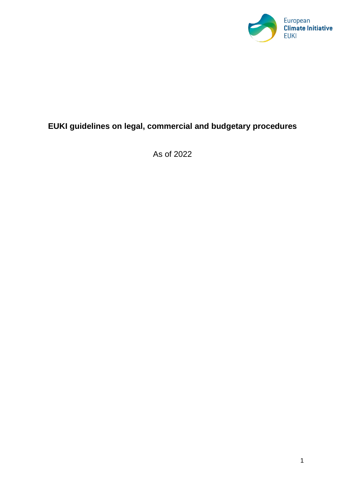

# **EUKI guidelines on legal, commercial and budgetary procedures**

As of 2022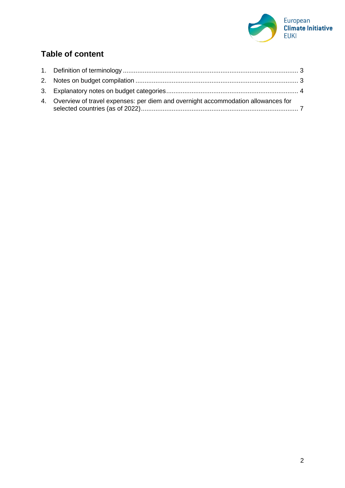

# **Table of content**

| 4. Overview of travel expenses: per diem and overnight accommodation allowances for |  |
|-------------------------------------------------------------------------------------|--|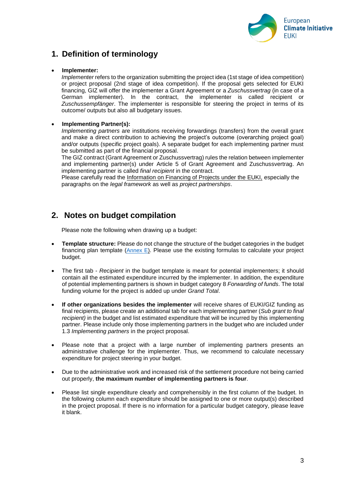

# <span id="page-2-0"></span>**1. Definition of terminology**

#### • **Implementer:**

*Implementer* refers to the organization submitting the project idea (1st stage of idea competition) or project proposal (2nd stage of idea competition). If the proposal gets selected for EUKI financing, GIZ will offer the implementer a Grant Agreement or a *Zuschussvertrag* (in case of a German implementer). In the contract, the implementer is called recipient or *Zuschussempfänger*. The implementer is responsible for steering the project in terms of its outcome/ outputs but also all budgetary issues.

#### • **Implementing Partner(s):**

*Implementing partners* are institutions receiving forwardings (transfers) from the overall grant and make a direct contribution to achieving the project's outcome (overarching project goal) and/or outputs (specific project goals). A separate budget for each implementing partner must be submitted as part of the financial proposal.

The GIZ contract (Grant Agreement or Zuschussvertrag) rules the relation between implementer and implementing partner(s) under Article 5 of Grant Agreement and Zuschussvertrag. An implementing partner is called *final recipient* in the contract.

Please carefully read the [Information on Financing of Projects under the EUKI,](https://www.euki.de/wp-content/uploads/2021/11/EUKI-Information-on-Financing-6th-Call-2022.pdf) especially the paragraphs on the *legal framework* as well as *project partnerships*.

## <span id="page-2-1"></span>**2. Notes on budget compilation**

Please note the following when drawing up a budget:

- **Template structure:** Please do not change the structure of the budget categories in the budget financing plan template ([Annex E\)](https://www.euki.de/wp-content/uploads/2022/05/Budget-Template-2022.xlsx). Please use the existing formulas to calculate your project budget.
- The first tab *Recipient* in the budget template is meant for potential implementers; it should contain all the estimated expenditure incurred by the implementer. In addition, the expenditure of potential implementing partners is shown in budget category 8 *Forwarding of funds*. The total funding volume for the project is added up under *Grand Total*.
- **If other organizations besides the implementer** will receive shares of EUKI/GIZ funding as final recipients, please create an additional tab for each implementing partner (*Sub grant to final recipient)* in the budget and list estimated expenditure that will be incurred by this implementing partner. Please include only those implementing partners in the budget who are included under 1.3 *Implementing partners* in the project proposal.
- Please note that a project with a large number of implementing partners presents an administrative challenge for the implementer. Thus, we recommend to calculate necessary expenditure for project steering in your budget.
- Due to the administrative work and increased risk of the settlement procedure not being carried out properly, **the maximum number of implementing partners is four**.
- Please list single expenditure clearly and comprehensibly in the first column of the budget. In the following column each expenditure should be assigned to one or more output(s) described in the project proposal. If there is no information for a particular budget category, please leave it blank.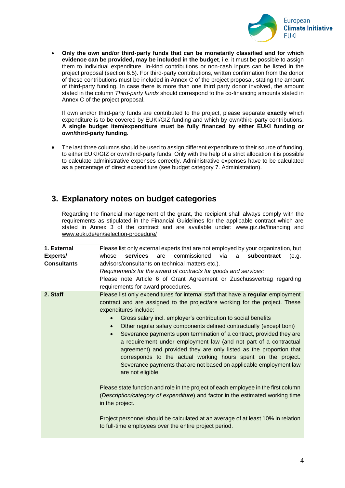

• **Only the own and/or third-party funds that can be monetarily classified and for which evidence can be provided, may be included in the budget**, i.e. it must be possible to assign them to individual expenditure. In-kind contributions or non-cash inputs can be listed in the project proposal (section 6.5). For third-party contributions, written confirmation from the donor of these contributions must be included in Annex C of the project proposal, stating the amount of third-party funding. In case there is more than one third party donor involved, the amount stated in the column *Third-party funds* should correspond to the co-financing amounts stated in Annex C of the project proposal.

If own and/or third-party funds are contributed to the project, please separate **exactly** which expenditure is to be covered by EUKI/GIZ funding and which by own/third-party contributions. **A single budget item/expenditure must be fully financed by either EUKI funding or own/third-party funding.**

• The last three columns should be used to assign different expenditure to their source of funding, to either EUKI/GIZ or own/third-party funds. Only with the help of a strict allocation it is possible to calculate administrative expenses correctly. Administrative expenses have to be calculated as a percentage of direct expenditure (see budget category 7. Administration).

## <span id="page-3-0"></span>**3. Explanatory notes on budget categories**

Regarding the financial management of the grant, the recipient shall always comply with the requirements as stipulated in the Financial Guidelines for the applicable contract which are stated in Annex 3 of the contract and are available under: [www.giz.de/financing](http://www.giz.de/financing) and [www.euki.de/en/selection-procedure/](http://www.euki.de/en/selection-procedure/)

| 1. External<br><b>Experts/</b><br><b>Consultants</b> | Please list only external experts that are not employed by your organization, but<br>commissioned<br><b>services</b><br>whose<br>are<br>via<br>subcontract<br>(e.g.<br>a<br>advisors/consultants on technical matters etc.).<br>Requirements for the award of contracts for goods and services:<br>Please note Article 6 of Grant Agreement or Zuschussvertrag regarding<br>requirements for award procedures.                                                                                                                                                                                                                                                                                                                            |
|------------------------------------------------------|-------------------------------------------------------------------------------------------------------------------------------------------------------------------------------------------------------------------------------------------------------------------------------------------------------------------------------------------------------------------------------------------------------------------------------------------------------------------------------------------------------------------------------------------------------------------------------------------------------------------------------------------------------------------------------------------------------------------------------------------|
| 2. Staff                                             | Please list only expenditures for internal staff that have a regular employment<br>contract and are assigned to the project/are working for the project. These<br>expenditures include:<br>Gross salary incl. employer's contribution to social benefits<br>Other regular salary components defined contractually (except boni)<br>$\bullet$<br>Severance payments upon termination of a contract, provided they are<br>$\bullet$<br>a requirement under employment law (and not part of a contractual<br>agreement) and provided they are only listed as the proportion that<br>corresponds to the actual working hours spent on the project.<br>Severance payments that are not based on applicable employment law<br>are not eligible. |
|                                                      | Please state function and role in the project of each employee in the first column<br>(Description/category of expenditure) and factor in the estimated working time<br>in the project.                                                                                                                                                                                                                                                                                                                                                                                                                                                                                                                                                   |
|                                                      | Project personnel should be calculated at an average of at least 10% in relation<br>to full-time employees over the entire project period.                                                                                                                                                                                                                                                                                                                                                                                                                                                                                                                                                                                                |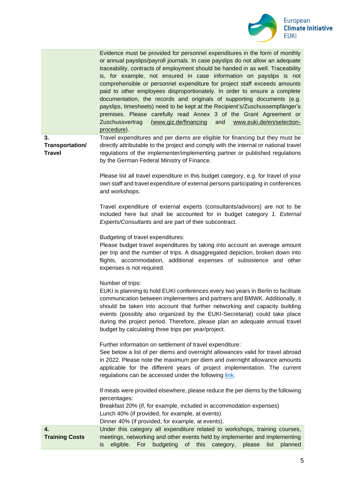

|                                        | Evidence must be provided for personnel expenditures in the form of monthly<br>or annual payslips/payroll journals. In case payslips do not allow an adequate<br>traceability, contracts of employment should be handed in as well. Traceability<br>is, for example, not ensured in case information on payslips is not<br>comprehensible or personnel expenditure for project staff exceeds amounts<br>paid to other employees disproportionately. In order to ensure a complete<br>documentation, the records and originals of supporting documents (e.g.<br>payslips, timesheets) need to be kept at the Recipient's/Zuschussempfänger's<br>premises. Please carefully read Annex 3 of the Grant Agreement or<br>(www.giz.de/financing<br>www.euki.de/en/selection-<br>Zuschussvertrag<br>and<br>procedure). |  |  |  |  |  |
|----------------------------------------|-----------------------------------------------------------------------------------------------------------------------------------------------------------------------------------------------------------------------------------------------------------------------------------------------------------------------------------------------------------------------------------------------------------------------------------------------------------------------------------------------------------------------------------------------------------------------------------------------------------------------------------------------------------------------------------------------------------------------------------------------------------------------------------------------------------------|--|--|--|--|--|
| 3.<br>Transportation/<br><b>Travel</b> | Travel expenditures and per diems are eligible for financing but they must be<br>directly attributable to the project and comply with the internal or national travel<br>regulations of the implementer/implementing partner or published regulations<br>by the German Federal Ministry of Finance.                                                                                                                                                                                                                                                                                                                                                                                                                                                                                                             |  |  |  |  |  |
|                                        | Please list all travel expenditure in this budget category, e.g. for travel of your<br>own staff and travel expenditure of external persons participating in conferences<br>and workshops.                                                                                                                                                                                                                                                                                                                                                                                                                                                                                                                                                                                                                      |  |  |  |  |  |
|                                        | Travel expenditure of external experts (consultants/advisors) are not to be<br>included here but shall be accounted for in budget category 1. External<br>Experts/Consultants and are part of their subcontract.                                                                                                                                                                                                                                                                                                                                                                                                                                                                                                                                                                                                |  |  |  |  |  |
|                                        | Budgeting of travel expenditures:<br>Please budget travel expenditures by taking into account an average amount<br>per trip and the number of trips. A disaggregated depiction, broken down into<br>flights, accommodation, additional expenses of subsistence and other<br>expenses is not required.                                                                                                                                                                                                                                                                                                                                                                                                                                                                                                           |  |  |  |  |  |
|                                        | Number of trips:<br>EUKI is planning to hold EUKI conferences every two years in Berlin to facilitate<br>communication between implementers and partners and BMWK. Additionally, it<br>should be taken into account that further networking and capacity building<br>events (possibly also organized by the EUKI-Secretariat) could take place<br>during the project period. Therefore, please plan an adequate annual travel<br>budget by calculating three trips per year/project.                                                                                                                                                                                                                                                                                                                            |  |  |  |  |  |
|                                        | Further information on settlement of travel expenditure:<br>See below a list of per diems and overnight allowances valid for travel abroad<br>in 2022. Please note the maximum per diem and overnight allowance amounts<br>applicable for the different years of project implementation. The current<br>regulations can be accessed under the following link.                                                                                                                                                                                                                                                                                                                                                                                                                                                   |  |  |  |  |  |
|                                        | If meals were provided elsewhere, please reduce the per diems by the following<br>percentages:<br>Breakfast 20% (if, for example, included in accommodation expenses)<br>Lunch 40% (if provided, for example, at events)<br>Dinner 40% (if provided, for example, at events).                                                                                                                                                                                                                                                                                                                                                                                                                                                                                                                                   |  |  |  |  |  |
| 4.<br><b>Training Costs</b>            | Under this category all expenditure related to workshops, training courses,<br>meetings, networking and other events held by implementer and implementing<br>eligible.<br>For<br>budgeting<br>of<br>this<br>category,<br>please<br>planned<br>is<br>list                                                                                                                                                                                                                                                                                                                                                                                                                                                                                                                                                        |  |  |  |  |  |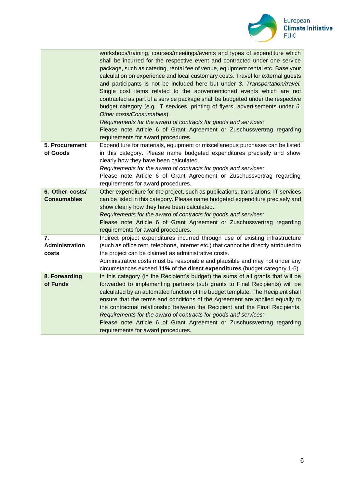

|                                       | workshops/training, courses/meetings/events and types of expenditure which<br>shall be incurred for the respective event and contracted under one service<br>package, such as catering, rental fee of venue, equipment rental etc. Base your<br>calculation on experience and local customary costs. Travel for external guests<br>and participants is not be included here but under 3. Transportation/travel.<br>Single cost items related to the abovementioned events which are not<br>contracted as part of a service package shall be budgeted under the respective<br>budget category (e.g. IT services, printing of flyers, advertisements under 6.<br>Other costs/Consumables).<br>Requirements for the award of contracts for goods and services:<br>Please note Article 6 of Grant Agreement or Zuschussvertrag regarding<br>requirements for award procedures. |
|---------------------------------------|----------------------------------------------------------------------------------------------------------------------------------------------------------------------------------------------------------------------------------------------------------------------------------------------------------------------------------------------------------------------------------------------------------------------------------------------------------------------------------------------------------------------------------------------------------------------------------------------------------------------------------------------------------------------------------------------------------------------------------------------------------------------------------------------------------------------------------------------------------------------------|
| 5. Procurement<br>of Goods            | Expenditure for materials, equipment or miscellaneous purchases can be listed<br>in this category. Please name budgeted expenditures precisely and show<br>clearly how they have been calculated.<br>Requirements for the award of contracts for goods and services:<br>Please note Article 6 of Grant Agreement or Zuschussvertrag regarding<br>requirements for award procedures.                                                                                                                                                                                                                                                                                                                                                                                                                                                                                        |
| 6. Other costs/<br><b>Consumables</b> | Other expenditure for the project, such as publications, translations, IT services<br>can be listed in this category. Please name budgeted expenditure precisely and<br>show clearly how they have been calculated.<br>Requirements for the award of contracts for goods and services:<br>Please note Article 6 of Grant Agreement or Zuschussvertrag regarding<br>requirements for award procedures.                                                                                                                                                                                                                                                                                                                                                                                                                                                                      |
| 7.<br>Administration<br>costs         | Indirect project expenditures incurred through use of existing infrastructure<br>(such as office rent, telephone, internet etc.) that cannot be directly attributed to<br>the project can be claimed as administrative costs.<br>Administrative costs must be reasonable and plausible and may not under any<br>circumstances exceed 11% of the direct expenditures (budget category 1-6).                                                                                                                                                                                                                                                                                                                                                                                                                                                                                 |
| 8. Forwarding<br>of Funds             | In this category (in the Recipient's budget) the sums of all grants that will be<br>forwarded to implementing partners (sub grants to Final Recipients) will be<br>calculated by an automated function of the budget template. The Recipient shall<br>ensure that the terms and conditions of the Agreement are applied equally to<br>the contractual relationship between the Recipient and the Final Recipients.<br>Requirements for the award of contracts for goods and services:<br>Please note Article 6 of Grant Agreement or Zuschussvertrag regarding<br>requirements for award procedures.                                                                                                                                                                                                                                                                       |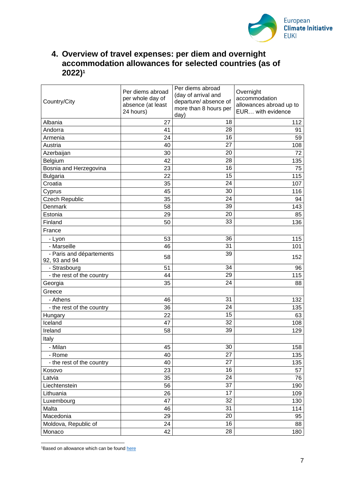

## <span id="page-6-0"></span>**4. Overview of travel expenses: per diem and overnight accommodation allowances for selected countries (as of 2022) 1**

| Country/City                              | Per diems abroad<br>per whole day of<br>absence (at least<br>24 hours) | Per diems abroad<br>(day of arrival and<br>departure/ absence of<br>more than 8 hours per<br>day) | Overnight<br>accommodation<br>allowances abroad up to<br>EUR with evidence |
|-------------------------------------------|------------------------------------------------------------------------|---------------------------------------------------------------------------------------------------|----------------------------------------------------------------------------|
| Albania                                   | 27                                                                     | 18                                                                                                | 112                                                                        |
| Andorra                                   | 41                                                                     | 28                                                                                                | 91                                                                         |
| Armenia                                   | 24                                                                     | 16                                                                                                | 59                                                                         |
| Austria                                   | 40                                                                     | 27                                                                                                | 108                                                                        |
| Azerbaijan                                | 30                                                                     | 20                                                                                                | 72                                                                         |
| Belgium                                   | 42                                                                     | 28                                                                                                | 135                                                                        |
| Bosnia and Herzegovina                    | 23                                                                     | 16                                                                                                | 75                                                                         |
| <b>Bulgaria</b>                           | 22                                                                     | 15                                                                                                | 115                                                                        |
| Croatia                                   | 35                                                                     | 24                                                                                                | 107                                                                        |
| Cyprus                                    | 45                                                                     | 30                                                                                                | 116                                                                        |
| <b>Czech Republic</b>                     | 35                                                                     | 24                                                                                                | 94                                                                         |
| Denmark                                   | 58                                                                     | 39                                                                                                | 143                                                                        |
| Estonia                                   | 29                                                                     | 20                                                                                                | 85                                                                         |
| Finland                                   | 50                                                                     | 33                                                                                                | 136                                                                        |
| France                                    |                                                                        |                                                                                                   |                                                                            |
| - Lyon                                    | 53                                                                     | 36                                                                                                | 115                                                                        |
| - Marseille                               | 46                                                                     | 31                                                                                                | 101                                                                        |
| - Paris and départements<br>92, 93 and 94 | 58                                                                     | 39                                                                                                | 152                                                                        |
| - Strasbourg                              | 51                                                                     | 34                                                                                                | 96                                                                         |
| - the rest of the country                 | 44                                                                     | 29                                                                                                | 115                                                                        |
| Georgia                                   | 35                                                                     | 24                                                                                                | 88                                                                         |
| Greece                                    |                                                                        |                                                                                                   |                                                                            |
| - Athens                                  | 46                                                                     | 31                                                                                                | 132                                                                        |
| - the rest of the country                 | 36                                                                     | 24                                                                                                | 135                                                                        |
| Hungary                                   | 22                                                                     | 15                                                                                                | 63                                                                         |
| Iceland                                   | 47                                                                     | 32                                                                                                | 108                                                                        |
| Ireland                                   | 58                                                                     | 39                                                                                                | 129                                                                        |
| Italy                                     |                                                                        |                                                                                                   |                                                                            |
| - Milan                                   | 45                                                                     | 30                                                                                                | 158                                                                        |
| - Rome                                    | 40                                                                     | $\overline{27}$                                                                                   | 135                                                                        |
| - the rest of the country                 | 40                                                                     | 27                                                                                                | 135                                                                        |
| Kosovo                                    | 23                                                                     | 16                                                                                                | 57                                                                         |
| Latvia                                    | 35                                                                     | 24                                                                                                | 76                                                                         |
| Liechtenstein                             | 56                                                                     | 37                                                                                                | 190                                                                        |
| Lithuania                                 | 26                                                                     | 17                                                                                                | 109                                                                        |
| Luxembourg                                | 47                                                                     | $\overline{32}$                                                                                   | 130                                                                        |
| Malta                                     | 46                                                                     | 31                                                                                                | 114                                                                        |
| Macedonia                                 | 29                                                                     | 20                                                                                                | 95                                                                         |
| Moldova, Republic of                      | 24                                                                     | 16                                                                                                | 88                                                                         |
| Monaco                                    | 42                                                                     | 28                                                                                                | 180                                                                        |

 $1B$ ased on allowance which can be foun[d here](https://www.bundesfinanzministerium.de/Content/DE/Downloads/BMF_Schreiben/Steuerarten/Lohnsteuer/2021-09-27-steuerliche-behandlung-reisekosten-reisekostenverguetungen-2022.pdf?__blob=publicationFile&v=2)